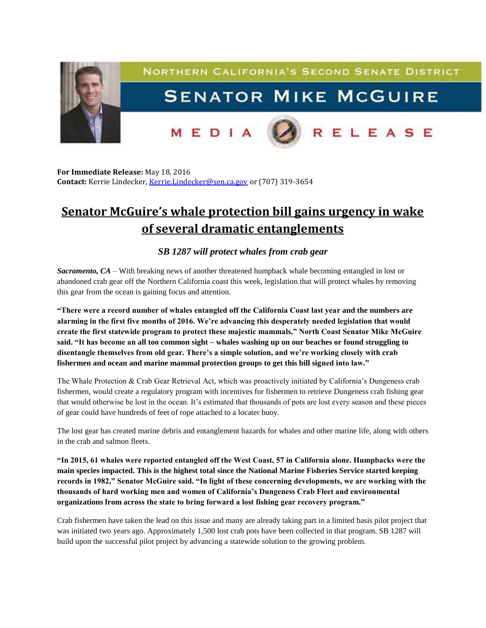

**For Immediate Release:** May 18, 2016 **Contact:** Kerrie Lindecker, [Kerrie.Lindecker@sen.ca.gov](mailto:Kerrie.Lindecker@sen.ca.gov) or (707) 319-3654

## **Senator McGuire's whale protection bill gains urgency in wake of several dramatic entanglements**

## *SB 1287 will protect whales from crab gear*

*Sacramento, CA* – With breaking news of another threatened humpback whale becoming entangled in lost or abandoned crab gear off the Northern California coast this week, legislation that will protect whales by removing this gear from the ocean is gaining focus and attention.

**"There were a record number of whales entangled off the California Coast last year and the numbers are alarming in the first five months of 2016. We're advancing this desperately needed legislation that would create the first statewide program to protect these majestic mammals," North Coast Senator Mike McGuire said. "It has become an all too common sight – whales washing up on our beaches or found struggling to disentangle themselves from old gear. There's a simple solution, and we're working closely with crab fishermen and ocean and marine mammal protection groups to get this bill signed into law."** 

The Whale Protection & Crab Gear Retrieval Act, which was proactively initiated by California's Dungeness crab fishermen, would create a regulatory program with incentives for fishermen to retrieve Dungeness crab fishing gear that would otherwise be lost in the ocean. It's estimated that thousands of pots are lost every season and these pieces of gear could have hundreds of feet of rope attached to a locater buoy.

The lost gear has created marine debris and entanglement hazards for whales and other marine life, along with others in the crab and salmon fleets.

**"In 2015, 61 whales were reported entangled off the West Coast, 57 in California alone. Humpbacks were the main species impacted. This is the highest total since the National Marine Fisheries Service started keeping records in 1982," Senator McGuire said. "In light of these concerning developments, we are working with the thousands of hard working men and women of California's Dungeness Crab Fleet and environmental organizations from across the state to bring forward a lost fishing gear recovery program."**

Crab fishermen have taken the lead on this issue and many are already taking part in a limited basis pilot project that was initiated two years ago. Approximately 1,500 lost crab pots have been collected in that program. SB 1287 will build upon the successful pilot project by advancing a statewide solution to the growing problem.